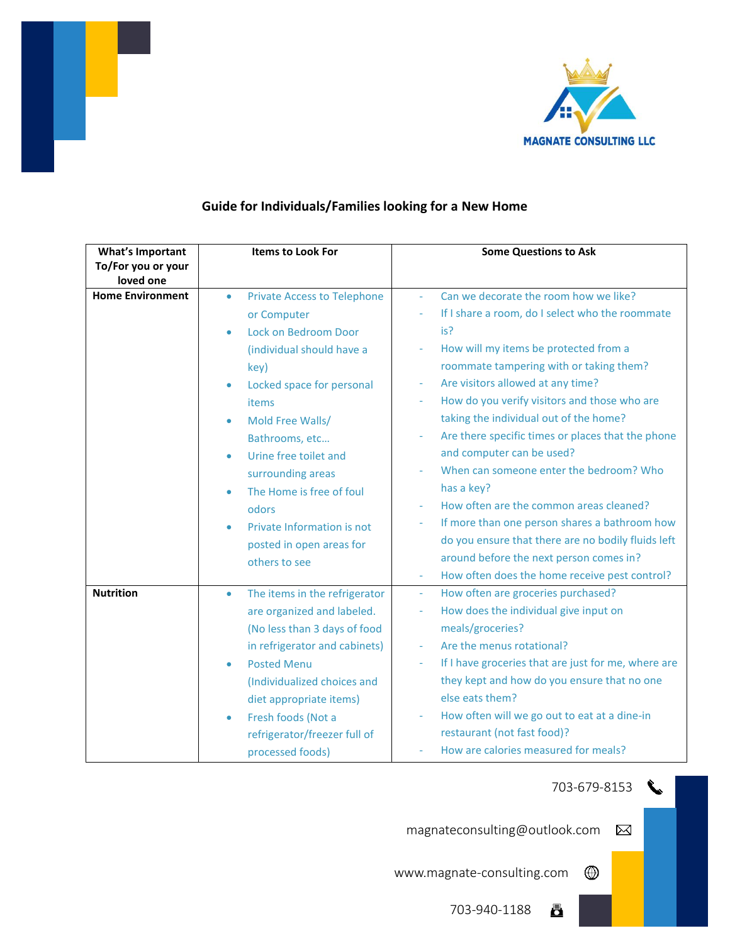

| <b>What's Important</b><br>To/For you or your | <b>Items to Look For</b>                   | <b>Some Questions to Ask</b>                                                    |  |
|-----------------------------------------------|--------------------------------------------|---------------------------------------------------------------------------------|--|
| loved one                                     |                                            |                                                                                 |  |
| <b>Home Environment</b>                       | <b>Private Access to Telephone</b><br>٠    | Can we decorate the room how we like?<br>$\bar{\phantom{a}}$                    |  |
|                                               | or Computer                                | If I share a room, do I select who the roommate<br>$\overline{\phantom{a}}$     |  |
|                                               | Lock on Bedroom Door<br>٠                  | is?                                                                             |  |
|                                               | (individual should have a                  | How will my items be protected from a<br>$\overline{\phantom{a}}$               |  |
|                                               | key)                                       | roommate tampering with or taking them?                                         |  |
|                                               | Locked space for personal<br>$\bullet$     | Are visitors allowed at any time?                                               |  |
|                                               | items                                      | How do you verify visitors and those who are<br>$\overline{\phantom{a}}$        |  |
|                                               | Mold Free Walls/                           | taking the individual out of the home?                                          |  |
|                                               | Bathrooms, etc                             | Are there specific times or places that the phone                               |  |
|                                               | Urine free toilet and<br>$\bullet$         | and computer can be used?                                                       |  |
|                                               | surrounding areas                          | When can someone enter the bedroom? Who                                         |  |
|                                               | The Home is free of foul                   | has a key?                                                                      |  |
|                                               | odors                                      | How often are the common areas cleaned?                                         |  |
|                                               | Private Information is not                 | If more than one person shares a bathroom how                                   |  |
|                                               | posted in open areas for                   | do you ensure that there are no bodily fluids left                              |  |
|                                               | others to see                              | around before the next person comes in?                                         |  |
|                                               |                                            | How often does the home receive pest control?<br>$\sim$                         |  |
| <b>Nutrition</b>                              | The items in the refrigerator<br>$\bullet$ | How often are groceries purchased?<br>$\sim$                                    |  |
|                                               | are organized and labeled.                 | How does the individual give input on<br>÷                                      |  |
|                                               | (No less than 3 days of food               | meals/groceries?                                                                |  |
|                                               | in refrigerator and cabinets)              | Are the menus rotational?<br>$\sim$                                             |  |
|                                               | <b>Posted Menu</b>                         | If I have groceries that are just for me, where are<br>$\overline{\phantom{a}}$ |  |
|                                               | (Individualized choices and                | they kept and how do you ensure that no one                                     |  |
|                                               | diet appropriate items)                    | else eats them?                                                                 |  |
|                                               | Fresh foods (Not a                         | How often will we go out to eat at a dine-in                                    |  |
|                                               | refrigerator/freezer full of               | restaurant (not fast food)?                                                     |  |
|                                               | processed foods)                           | How are calories measured for meals?                                            |  |

## **Guide for Individuals/Families looking for a New Home**

703-679-8153

 $\bigoplus$ 

ā

magnateconsulting@outlook.com  $\boxtimes$ 

www.magnate-consulting.com

703-940-1188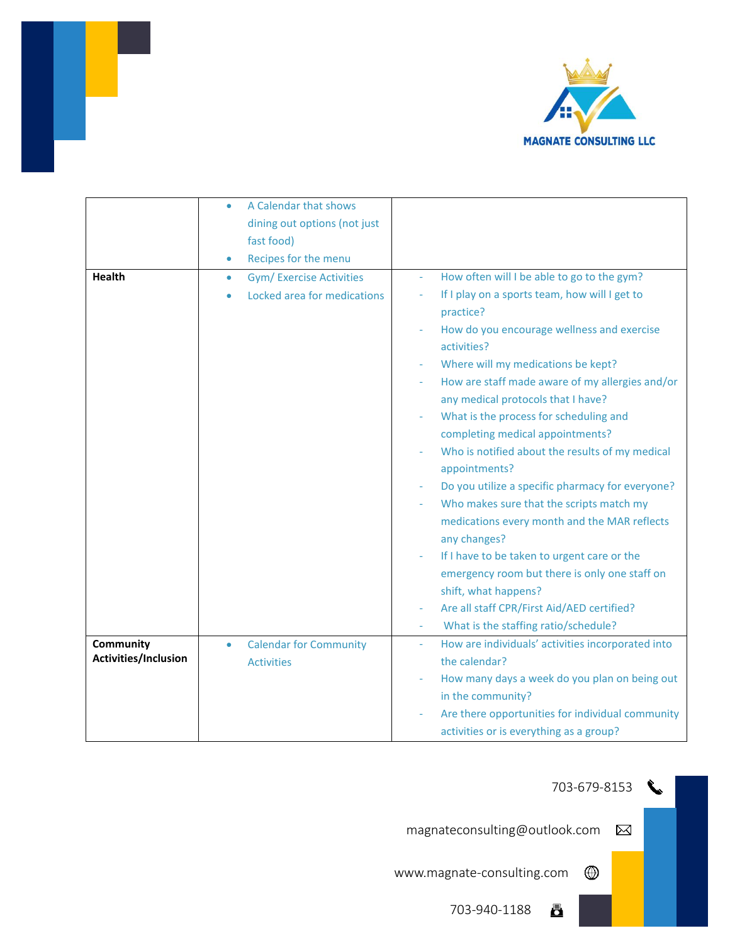

|                                   | A Calendar that shows<br>۰<br>dining out options (not just<br>fast food)<br>Recipes for the menu<br>$\bullet$ |                                                                                                                                                                                                                                                                                                                                                                                                                                                                                                                                                                                                                                                                                                                                                                                                                                                  |
|-----------------------------------|---------------------------------------------------------------------------------------------------------------|--------------------------------------------------------------------------------------------------------------------------------------------------------------------------------------------------------------------------------------------------------------------------------------------------------------------------------------------------------------------------------------------------------------------------------------------------------------------------------------------------------------------------------------------------------------------------------------------------------------------------------------------------------------------------------------------------------------------------------------------------------------------------------------------------------------------------------------------------|
| <b>Health</b>                     | <b>Gym/ Exercise Activities</b><br>۰<br>Locked area for medications                                           | How often will I be able to go to the gym?<br>$\omega$<br>If I play on a sports team, how will I get to<br>practice?<br>How do you encourage wellness and exercise<br>activities?<br>Where will my medications be kept?<br>How are staff made aware of my allergies and/or<br>any medical protocols that I have?<br>What is the process for scheduling and<br>completing medical appointments?<br>Who is notified about the results of my medical<br>appointments?<br>Do you utilize a specific pharmacy for everyone?<br>Who makes sure that the scripts match my<br>medications every month and the MAR reflects<br>any changes?<br>If I have to be taken to urgent care or the<br>emergency room but there is only one staff on<br>shift, what happens?<br>Are all staff CPR/First Aid/AED certified?<br>What is the staffing ratio/schedule? |
| Community<br>Activities/Inclusion | <b>Calendar for Community</b><br>$\bullet$<br><b>Activities</b>                                               | How are individuals' activities incorporated into<br>$\equiv$<br>the calendar?<br>How many days a week do you plan on being out<br>in the community?<br>Are there opportunities for individual community<br>activities or is everything as a group?                                                                                                                                                                                                                                                                                                                                                                                                                                                                                                                                                                                              |

r



 $\bigcirc$ 

magnateconsulting@outlook.com  $\boxtimes$ 

www.magnate-consulting.com

703-940-1188 <u>a</u>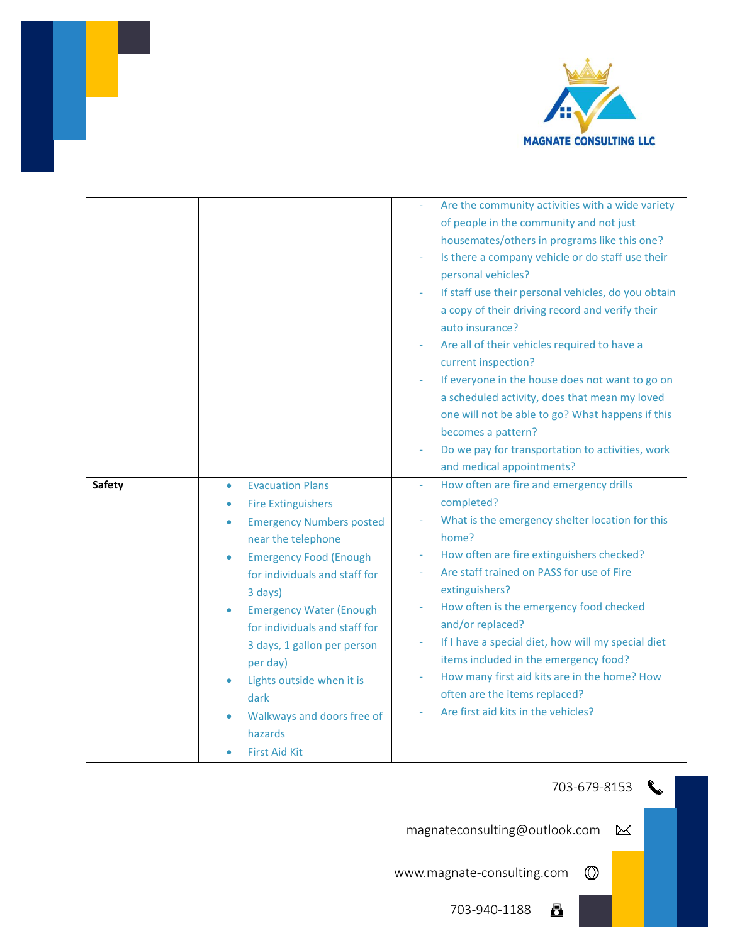

|               |                                              | Are the community activities with a wide variety                     |
|---------------|----------------------------------------------|----------------------------------------------------------------------|
|               |                                              | of people in the community and not just                              |
|               |                                              | housemates/others in programs like this one?                         |
|               |                                              | Is there a company vehicle or do staff use their                     |
|               |                                              | personal vehicles?                                                   |
|               |                                              | If staff use their personal vehicles, do you obtain                  |
|               |                                              | a copy of their driving record and verify their                      |
|               |                                              | auto insurance?                                                      |
|               |                                              | Are all of their vehicles required to have a                         |
|               |                                              | current inspection?                                                  |
|               |                                              | If everyone in the house does not want to go on                      |
|               |                                              | a scheduled activity, does that mean my loved                        |
|               |                                              | one will not be able to go? What happens if this                     |
|               |                                              | becomes a pattern?                                                   |
|               |                                              | Do we pay for transportation to activities, work                     |
|               |                                              | and medical appointments?                                            |
| <b>Safety</b> | <b>Evacuation Plans</b><br>۰                 | How often are fire and emergency drills<br>$\overline{\phantom{a}}$  |
|               | <b>Fire Extinguishers</b>                    | completed?                                                           |
|               | <b>Emergency Numbers posted</b><br>$\bullet$ | What is the emergency shelter location for this                      |
|               | near the telephone                           | home?                                                                |
|               | <b>Emergency Food (Enough</b><br>$\bullet$   | How often are fire extinguishers checked?                            |
|               | for individuals and staff for                | Are staff trained on PASS for use of Fire                            |
|               | 3 days)                                      | extinguishers?                                                       |
|               | <b>Emergency Water (Enough</b>               | How often is the emergency food checked                              |
|               | for individuals and staff for                | and/or replaced?                                                     |
|               | 3 days, 1 gallon per person                  | If I have a special diet, how will my special diet<br>$\blacksquare$ |
|               | per day)                                     | items included in the emergency food?                                |
|               | Lights outside when it is                    | How many first aid kits are in the home? How                         |
|               | dark                                         | often are the items replaced?                                        |
|               | Walkways and doors free of                   | Are first aid kits in the vehicles?                                  |
|               | hazards                                      |                                                                      |
|               | <b>First Aid Kit</b>                         |                                                                      |

703-679-8153 magnateconsulting@outlook.com  $\boxtimes$ www.magnate-consulting.com  $^{\circledR}$ 

> 703-940-1188 8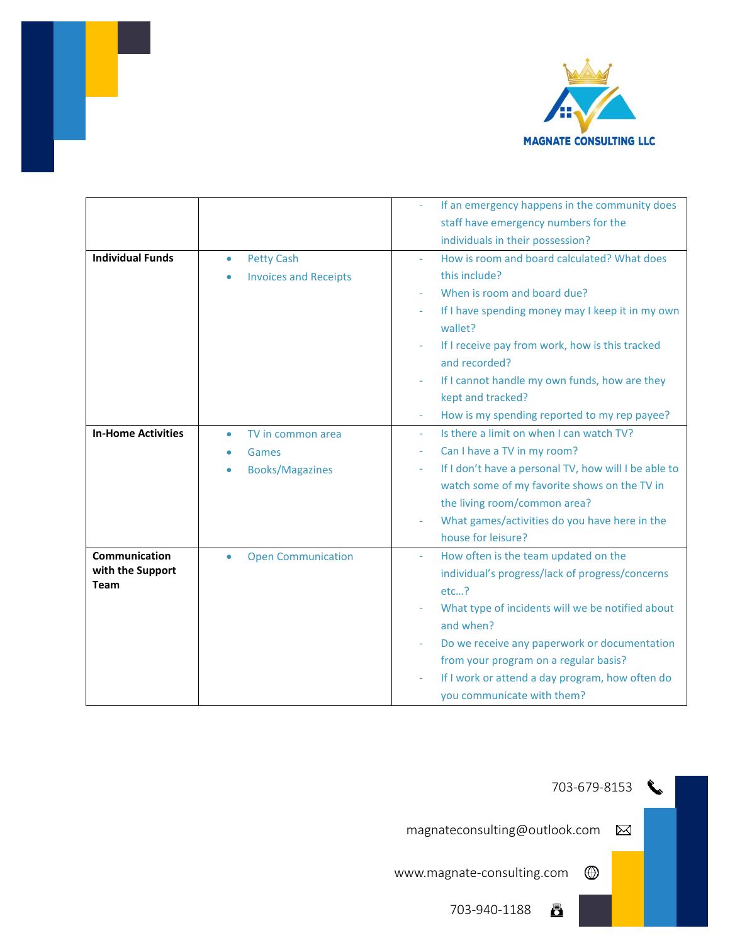

|                           |                              | If an emergency happens in the community does                            |
|---------------------------|------------------------------|--------------------------------------------------------------------------|
|                           |                              | staff have emergency numbers for the                                     |
|                           |                              | individuals in their possession?                                         |
| <b>Individual Funds</b>   | <b>Petty Cash</b><br>۰       | How is room and board calculated? What does                              |
|                           | <b>Invoices and Receipts</b> | this include?                                                            |
|                           |                              | When is room and board due?                                              |
|                           |                              | If I have spending money may I keep it in my own                         |
|                           |                              | wallet?                                                                  |
|                           |                              | If I receive pay from work, how is this tracked                          |
|                           |                              | and recorded?                                                            |
|                           |                              | If I cannot handle my own funds, how are they                            |
|                           |                              | kept and tracked?                                                        |
|                           |                              | How is my spending reported to my rep payee?<br>$\overline{\phantom{a}}$ |
| <b>In-Home Activities</b> | TV in common area<br>٠       | Is there a limit on when I can watch TV?<br>$\equiv$                     |
|                           | Games                        | Can I have a TV in my room?                                              |
|                           | <b>Books/Magazines</b><br>۰  | If I don't have a personal TV, how will I be able to<br>٠                |
|                           |                              | watch some of my favorite shows on the TV in                             |
|                           |                              | the living room/common area?                                             |
|                           |                              | What games/activities do you have here in the                            |
|                           |                              | house for leisure?                                                       |
| Communication             | <b>Open Communication</b>    | How often is the team updated on the                                     |
| with the Support          |                              | individual's progress/lack of progress/concerns                          |
| <b>Team</b>               |                              | etc?                                                                     |
|                           |                              | What type of incidents will we be notified about                         |
|                           |                              | and when?                                                                |
|                           |                              | Do we receive any paperwork or documentation                             |
|                           |                              | from your program on a regular basis?                                    |
|                           |                              | If I work or attend a day program, how often do                          |
|                           |                              | you communicate with them?                                               |

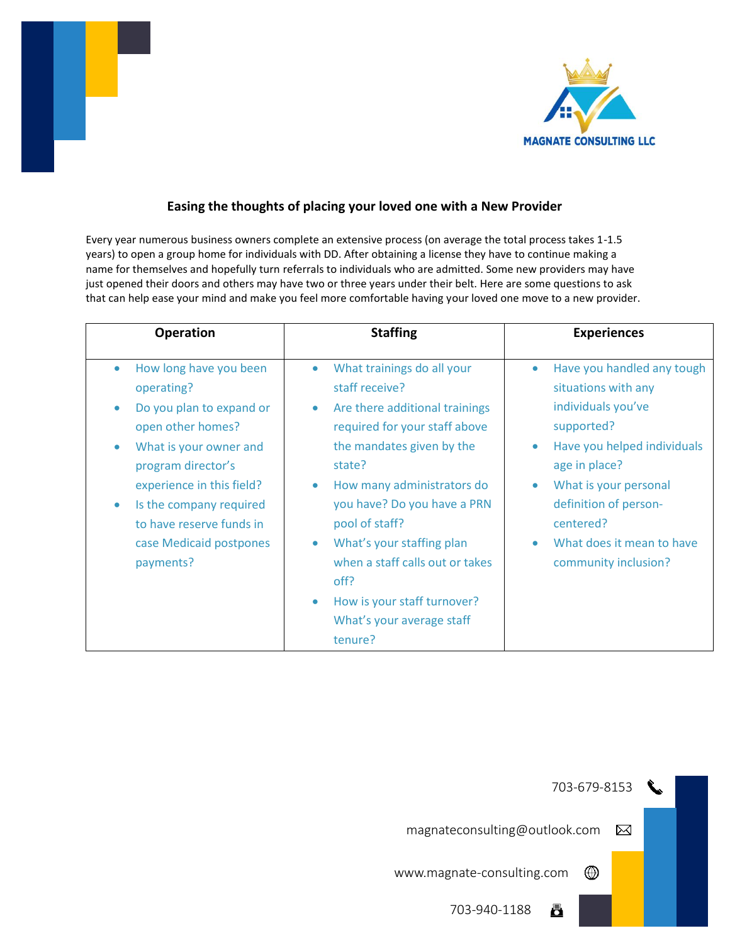



## **Easing the thoughts of placing your loved one with a New Provider**

Every year numerous business owners complete an extensive process (on average the total process takes 1-1.5 years) to open a group home for individuals with DD. After obtaining a license they have to continue making a name for themselves and hopefully turn referrals to individuals who are admitted. Some new providers may have just opened their doors and others may have two or three years under their belt. Here are some questions to ask that can help ease your mind and make you feel more comfortable having your loved one move to a new provider.

| <b>Operation</b>                                                                                                                                                                                                                                                  | <b>Staffing</b>                                                                                                                                                                                                                                                                                                                                                                                                                                       | <b>Experiences</b>                                                                                                                                                                                                                                                                               |
|-------------------------------------------------------------------------------------------------------------------------------------------------------------------------------------------------------------------------------------------------------------------|-------------------------------------------------------------------------------------------------------------------------------------------------------------------------------------------------------------------------------------------------------------------------------------------------------------------------------------------------------------------------------------------------------------------------------------------------------|--------------------------------------------------------------------------------------------------------------------------------------------------------------------------------------------------------------------------------------------------------------------------------------------------|
| How long have you been<br>operating?<br>Do you plan to expand or<br>open other homes?<br>What is your owner and<br>program director's<br>experience in this field?<br>Is the company required<br>to have reserve funds in<br>case Medicaid postpones<br>payments? | What trainings do all your<br>$\bullet$<br>staff receive?<br>Are there additional trainings<br>$\bullet$<br>required for your staff above<br>the mandates given by the<br>state?<br>How many administrators do<br>$\bullet$<br>you have? Do you have a PRN<br>pool of staff?<br>What's your staffing plan<br>$\bullet$<br>when a staff calls out or takes<br>off?<br>How is your staff turnover?<br>$\bullet$<br>What's your average staff<br>tenure? | Have you handled any tough<br>$\bullet$<br>situations with any<br>individuals you've<br>supported?<br>Have you helped individuals<br>$\bullet$<br>age in place?<br>What is your personal<br>definition of person-<br>centered?<br>What does it mean to have<br>$\bullet$<br>community inclusion? |